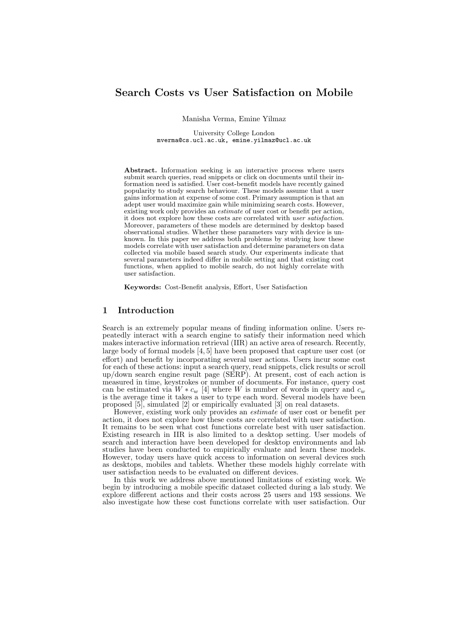# Search Costs vs User Satisfaction on Mobile

Manisha Verma, Emine Yilmaz

University College London mverma@cs.ucl.ac.uk, emine.yilmaz@ucl.ac.uk

Abstract. Information seeking is an interactive process where users submit search queries, read snippets or click on documents until their information need is satisfied. User cost-benefit models have recently gained popularity to study search behaviour. These models assume that a user gains information at expense of some cost. Primary assumption is that an adept user would maximize gain while minimizing search costs. However, existing work only provides an *estimate* of user cost or benefit per action, it does not explore how these costs are correlated with user satisfaction. Moreover, parameters of these models are determined by desktop based observational studies. Whether these parameters vary with device is unknown. In this paper we address both problems by studying how these models correlate with user satisfaction and determine parameters on data collected via mobile based search study. Our experiments indicate that several parameters indeed differ in mobile setting and that existing cost functions, when applied to mobile search, do not highly correlate with user satisfaction.

Keywords: Cost-Benefit analysis, Effort, User Satisfaction

#### 1 Introduction

Search is an extremely popular means of finding information online. Users repeatedly interact with a search engine to satisfy their information need which makes interactive information retrieval (IIR) an active area of research. Recently, large body of formal models [4, 5] have been proposed that capture user cost (or effort) and benefit by incorporating several user actions. Users incur some cost for each of these actions: input a search query, read snippets, click results or scroll up/down search engine result page (SERP). At present, cost of each action is measured in time, keystrokes or number of documents. For instance, query cost can be estimated via  $W * c_w$  [4] where W is number of words in query and  $c_w$ is the average time it takes a user to type each word. Several models have been proposed [5], simulated [2] or empirically evaluated [3] on real datasets.

However, existing work only provides an *estimate* of user cost or benefit per action, it does not explore how these costs are correlated with user satisfaction. It remains to be seen what cost functions correlate best with user satisfaction. Existing research in IIR is also limited to a desktop setting. User models of search and interaction have been developed for desktop environments and lab studies have been conducted to empirically evaluate and learn these models. However, today users have quick access to information on several devices such as desktops, mobiles and tablets. Whether these models highly correlate with user satisfaction needs to be evaluated on different devices.

In this work we address above mentioned limitations of existing work. We begin by introducing a mobile specific dataset collected during a lab study. We explore different actions and their costs across 25 users and 193 sessions. We also investigate how these cost functions correlate with user satisfaction. Our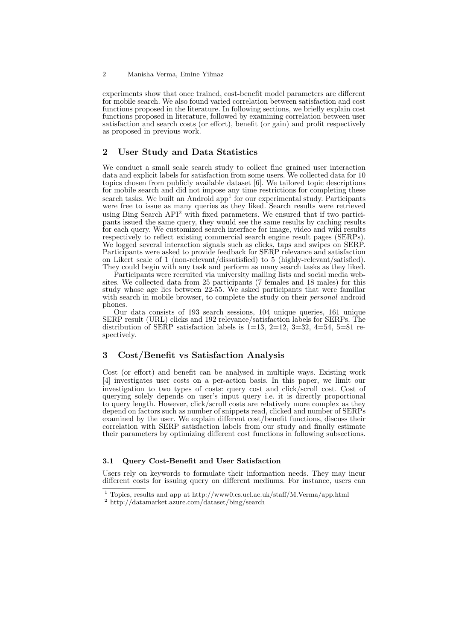experiments show that once trained, cost-benefit model parameters are different for mobile search. We also found varied correlation between satisfaction and cost functions proposed in the literature. In following sections, we briefly explain cost functions proposed in literature, followed by examining correlation between user satisfaction and search costs (or effort), benefit (or gain) and profit respectively as proposed in previous work.

# 2 User Study and Data Statistics

We conduct a small scale search study to collect fine grained user interaction data and explicit labels for satisfaction from some users. We collected data for 10 topics chosen from publicly available dataset [6]. We tailored topic descriptions for mobile search and did not impose any time restrictions for completing these search tasks. We built an Android  $app<sup>1</sup>$  for our experimental study. Participants were free to issue as many queries as they liked. Search results were retrieved using Bing Search API<sup>2</sup> with fixed parameters. We ensured that if two participants issued the same query, they would see the same results by caching results for each query. We customized search interface for image, video and wiki results respectively to reflect existing commercial search engine result pages (SERPs). We logged several interaction signals such as clicks, taps and swipes on SERP. Participants were asked to provide feedback for SERP relevance and satisfaction on Likert scale of 1 (non-relevant/dissatisfied) to 5 (highly-relevant/satisfied). They could begin with any task and perform as many search tasks as they liked.

Participants were recruited via university mailing lists and social media websites. We collected data from 25 participants (7 females and 18 males) for this study whose age lies between 22-55. We asked participants that were familiar with search in mobile browser, to complete the study on their *personal* android phones.

Our data consists of 193 search sessions, 104 unique queries, 161 unique SERP result (URL) clicks and 192 relevance/satisfaction labels for SERPs. The distribution of SERP satisfaction labels is  $1=13$ ,  $2=12$ ,  $3=32$ ,  $4=54$ ,  $5=81$  respectively.

# 3 Cost/Benefit vs Satisfaction Analysis

Cost (or effort) and benefit can be analysed in multiple ways. Existing work [4] investigates user costs on a per-action basis. In this paper, we limit our investigation to two types of costs: query cost and click/scroll cost. Cost of querying solely depends on user's input query i.e. it is directly proportional to query length. However, click/scroll costs are relatively more complex as they depend on factors such as number of snippets read, clicked and number of SERPs examined by the user. We explain different cost/benefit functions, discuss their correlation with SERP satisfaction labels from our study and finally estimate their parameters by optimizing different cost functions in following subsections.

#### 3.1 Query Cost-Benefit and User Satisfaction

Users rely on keywords to formulate their information needs. They may incur different costs for issuing query on different mediums. For instance, users can

 $^{-1}$  Topics, results and app at http://www0.cs.ucl.ac.uk/staff/M.Verma/app.html

<sup>2</sup> http://datamarket.azure.com/dataset/bing/search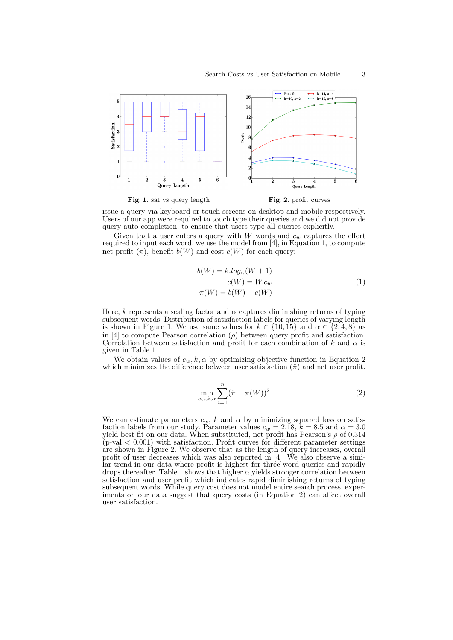

issue a query via keyboard or touch screens on desktop and mobile respectively. Users of our app were required to touch type their queries and we did not provide query auto completion, to ensure that users type all queries explicitly.

Given that a user enters a query with  $W$  words and  $c_w$  captures the effort required to input each word, we use the model from [4], in Equation 1, to compute net profit  $(\pi)$ , benefit  $b(W)$  and cost  $c(W)$  for each query:

$$
b(W) = k \cdot log_{\alpha}(W + 1)
$$
  
\n
$$
c(W) = W.c_w
$$
  
\n
$$
\pi(W) = b(W) - c(W)
$$
\n(1)

Here, k represents a scaling factor and  $\alpha$  captures diminishing returns of typing subsequent words. Distribution of satisfaction labels for queries of varying length is shown in Figure 1. We use same values for  $k \in \{10, 15\}$  and  $\alpha \in \{2, 4, 8\}$  as in [4] to compute Pearson correlation  $(\rho)$  between query profit and satisfaction. Correlation between satisfaction and profit for each combination of k and  $\alpha$  is given in Table 1.

We obtain values of  $c_w, k, \alpha$  by optimizing objective function in Equation 2 which minimizes the difference between user satisfaction  $(\hat{\pi})$  and net user profit.

$$
\min_{c_w, k, \alpha} \sum_{i=1}^{n} (\hat{\pi} - \pi(W))^2
$$
 (2)

We can estimate parameters  $c_w$ , k and  $\alpha$  by minimizing squared loss on satisfaction labels from our study. Parameter values  $c_w = 2.18$ ,  $k = 8.5$  and  $\alpha = 3.0$ yield best fit on our data. When substituted, net profit has Pearson's  $\rho$  of 0.314  $(p$ -val  $< 0.001$ ) with satisfaction. Profit curves for different parameter settings are shown in Figure 2. We observe that as the length of query increases, overall profit of user decreases which was also reported in [4]. We also observe a similar trend in our data where profit is highest for three word queries and rapidly drops thereafter. Table 1 shows that higher  $\alpha$  yields stronger correlation between satisfaction and user profit which indicates rapid diminishing returns of typing subsequent words. While query cost does not model entire search process, experiments on our data suggest that query costs (in Equation 2) can affect overall user satisfaction.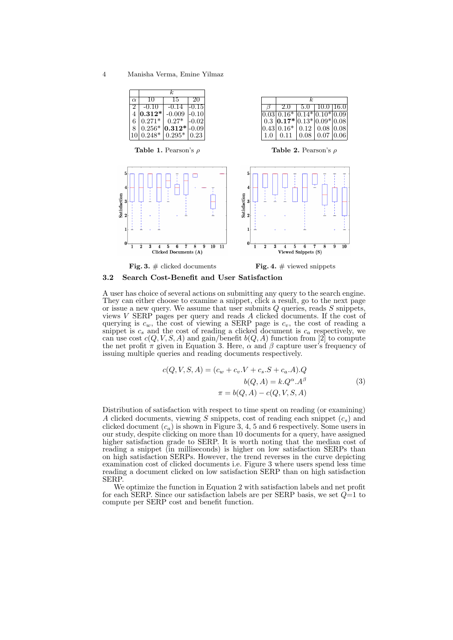

3.2 Search Cost-Benefit and User Satisfaction

A user has choice of several actions on submitting any query to the search engine. They can either choose to examine a snippet, click a result, go to the next page or issue a new query. We assume that user submits  $Q$  queries, reads  $S$  snippets, views V SERP pages per query and reads A clicked documents. If the cost of querying is  $c_w$ , the cost of viewing a SERP page is  $c_v$ , the cost of reading a snippet is  $c_s$  and the cost of reading a clicked document is  $c_a$  respectively, we can use cost  $c(Q, V, S, A)$  and gain/benefit  $b(Q, A)$  function from [2] to compute the net profit  $\pi$  given in Equation 3. Here,  $\alpha$  and  $\beta$  capture user's frequency of issuing multiple queries and reading documents respectively.

$$
c(Q, V, S, A) = (c_w + c_v.V + c_s.S + c_a.A).Q
$$
  

$$
b(Q, A) = k.Q^{\alpha}.A^{\beta}
$$
  

$$
\pi = b(Q, A) - c(Q, V, S, A)
$$
 (3)

Distribution of satisfaction with respect to time spent on reading (or examining) A clicked documents, viewing S snippets, cost of reading each snippet  $(c_s)$  and clicked document  $(c_a)$  is shown in Figure 3, 4, 5 and 6 respectively. Some users in our study, despite clicking on more than 10 documents for a query, have assigned higher satisfaction grade to SERP. It is worth noting that the median cost of reading a snippet (in milliseconds) is higher on low satisfaction SERPs than on high satisfaction SERPs. However, the trend reverses in the curve depicting examination cost of clicked documents i.e. Figure 3 where users spend less time reading a document clicked on low satisfaction SERP than on high satisfaction SERP.

We optimize the function in Equation 2 with satisfaction labels and net profit for each SERP. Since our satisfaction labels are per SERP basis, we set  $Q=1$  to compute per SERP cost and benefit function.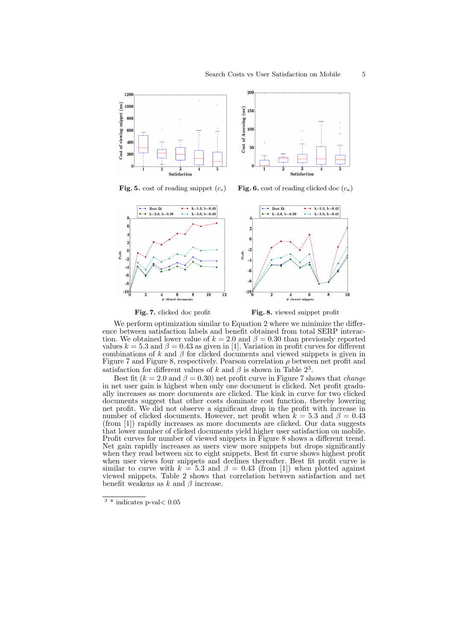



Fig. 5. cost of reading snippet  $(c_s)$  Fig. 6. cost of reading clicked doc  $(c_a)$ 



Fig. 7. clicked doc profit Fig. 8. viewed snippet profit

We perform optimization similar to Equation 2 where we minimize the difference between satisfaction labels and benefit obtained from total SERP interaction. We obtained lower value of  $k = 2.0$  and  $\beta = 0.30$  than previously reported values  $k = 5.3$  and  $\beta = 0.43$  as given in [1]. Variation in profit curves for different combinations of k and  $\beta$  for clicked documents and viewed snippets is given in Figure 7 and Figure 8, respectively. Pearson correlation  $\rho$  between net profit and satisfaction for different values of k and  $\beta$  is shown in Table  $2^3$ .

Best fit ( $k = 2.0$  and  $\beta = 0.30$ ) net profit curve in Figure 7 shows that *change* in net user gain is highest when only one document is clicked. Net profit gradually increases as more documents are clicked. The kink in curve for two clicked documents suggest that other costs dominate cost function, thereby lowering net profit. We did not observe a significant drop in the profit with increase in number of clicked documents. However, net profit when  $k = 5.3$  and  $\beta = 0.43$ (from [1]) rapidly increases as more documents are clicked. Our data suggests that lower number of clicked documents yield higher user satisfaction on mobile. Profit curves for number of viewed snippets in Figure 8 shows a different trend. Net gain rapidly increases as users view more snippets but drops significantly when they read between six to eight snippets. Best fit curve shows highest profit when user views four snippets and declines thereafter. Best fit profit curve is similar to curve with  $k = 5.3$  and  $\beta = 0.43$  (from [1]) when plotted against viewed snippets. Table 2 shows that correlation between satisfaction and net benefit weakens as k and  $\beta$  increase.

 $3 *$  indicates p-val $< 0.05$